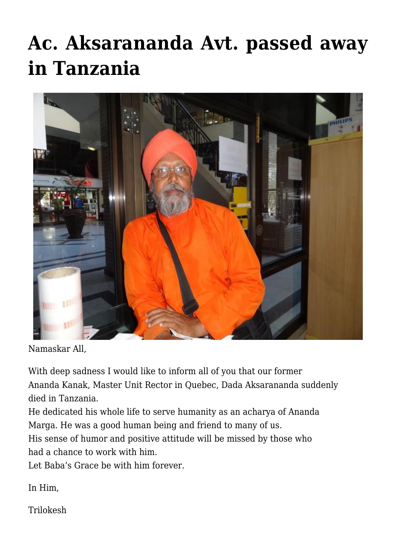## **[Ac. Aksarananda Avt. passed away](https://crimsondawn.net/portfolio/ac-aksarananda-avt-passed-away-in-tanzania/) [in Tanzania](https://crimsondawn.net/portfolio/ac-aksarananda-avt-passed-away-in-tanzania/)**



Namaskar All,

With deep sadness I would like to inform all of you that our former Ananda Kanak, Master Unit Rector in Quebec, Dada Aksarananda suddenly died in Tanzania.

He dedicated his whole life to serve humanity as an acharya of Ananda Marga. He was a good human being and friend to many of us.

His sense of humor and positive attitude will be missed by those who had a chance to work with him.

Let Baba's Grace be with him forever.

In Him,

Trilokesh